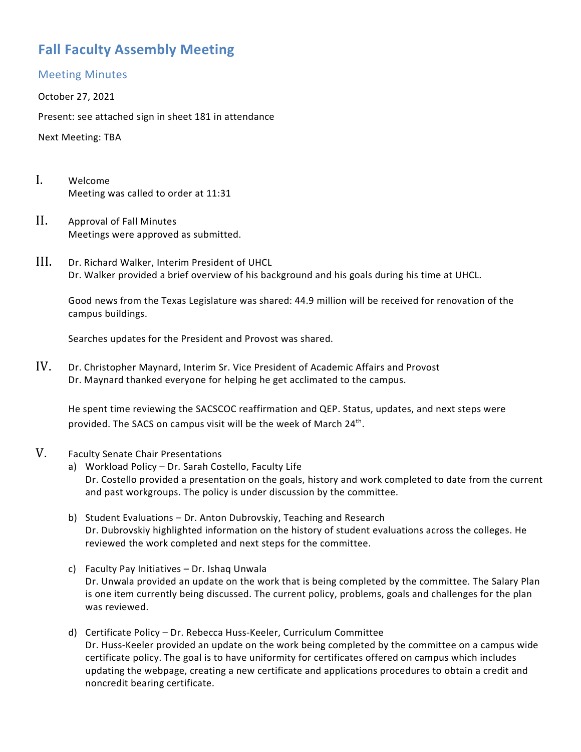# **Fall Faculty Assembly Meeting**

#### Meeting Minutes

October 27, 2021

Present: see attached sign in sheet 181 in attendance

Next Meeting: TBA

- I. Welcome Meeting was called to order at 11:31
- II. Approval of Fall Minutes Meetings were approved as submitted.
- III. Dr. Richard Walker, Interim President of UHCL Dr. Walker provided a brief overview of his background and his goals during his time at UHCL.

Good news from the Texas Legislature was shared: 44.9 million will be received for renovation of the campus buildings.

Searches updates for the President and Provost was shared.

IV. Dr. Christopher Maynard, Interim Sr. Vice President of Academic Affairs and Provost Dr. Maynard thanked everyone for helping he get acclimated to the campus.

He spent time reviewing the SACSCOC reaffirmation and QEP. Status, updates, and next steps were provided. The SACS on campus visit will be the week of March 24<sup>th</sup>.

#### V. Faculty Senate Chair Presentations

- a) Workload Policy Dr. Sarah Costello, Faculty Life Dr. Costello provided a presentation on the goals, history and work completed to date from the current and past workgroups. The policy is under discussion by the committee.
- b) Student Evaluations Dr. Anton Dubrovskiy, Teaching and Research Dr. Dubrovskiy highlighted information on the history of student evaluations across the colleges. He reviewed the work completed and next steps for the committee.
- c) Faculty Pay Initiatives Dr. Ishaq Unwala Dr. Unwala provided an update on the work that is being completed by the committee. The Salary Plan is one item currently being discussed. The current policy, problems, goals and challenges for the plan was reviewed.
- d) Certificate Policy Dr. Rebecca Huss-Keeler, Curriculum Committee Dr. Huss-Keeler provided an update on the work being completed by the committee on a campus wide certificate policy. The goal is to have uniformity for certificates offered on campus which includes updating the webpage, creating a new certificate and applications procedures to obtain a credit and noncredit bearing certificate.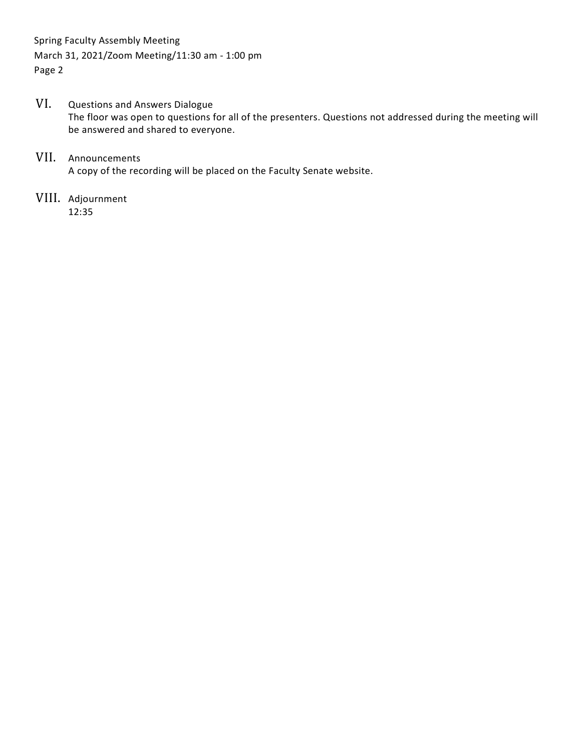Spring Faculty Assembly Meeting March 31, 2021/Zoom Meeting/11:30 am - 1:00 pm Page 2

#### VI. Questions and Answers Dialogue The floor was open to questions for all of the presenters. Questions not addressed during the meeting will be answered and shared to everyone.

#### VII. Announcements A copy of the recording will be placed on the Faculty Senate website.

VIII. Adjournment 12:35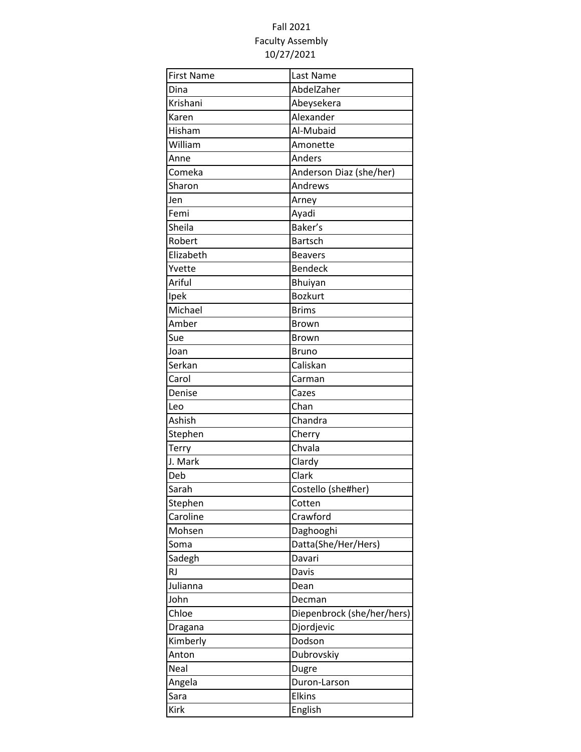# Fall 2021 Faculty Assembly 10/27/2021

| <b>First Name</b> | Last Name                  |
|-------------------|----------------------------|
| Dina              | AbdelZaher                 |
| Krishani          | Abeysekera                 |
| Karen             | Alexander                  |
| Hisham            | Al-Mubaid                  |
| William           | Amonette                   |
| Anne              | Anders                     |
| Comeka            | Anderson Diaz (she/her)    |
| Sharon            | Andrews                    |
| Jen               | Arney                      |
| Femi              | Ayadi                      |
| Sheila            | Baker's                    |
| Robert            | <b>Bartsch</b>             |
| Elizabeth         | <b>Beavers</b>             |
| Yvette            | Bendeck                    |
| Ariful            | Bhuiyan                    |
| Ipek              | <b>Bozkurt</b>             |
| Michael           | <b>Brims</b>               |
| Amber             | <b>Brown</b>               |
| Sue               | <b>Brown</b>               |
| Joan              | <b>Bruno</b>               |
| Serkan            | Caliskan                   |
| Carol             | Carman                     |
| Denise            | Cazes                      |
| Leo               | Chan                       |
| Ashish            | Chandra                    |
| Stephen           | Cherry                     |
| Terry             | Chvala                     |
| J. Mark           | Clardy                     |
| Deb               | Clark                      |
| Sarah             | Costello (she#her)         |
| Stephen           | Cotten                     |
| Caroline          | Crawford                   |
| Mohsen            | Daghooghi                  |
| Soma              | Datta(She/Her/Hers)        |
| Sadegh            | Davari                     |
| <b>RJ</b>         | Davis                      |
| Julianna          | Dean                       |
| John              | Decman                     |
| Chloe             | Diepenbrock (she/her/hers) |
| Dragana           | Djordjevic                 |
| Kimberly          | Dodson                     |
| Anton             | Dubrovskiy                 |
| Neal              | Dugre                      |
| Angela            | Duron-Larson               |
| Sara              | <b>Elkins</b>              |
| Kirk              | English                    |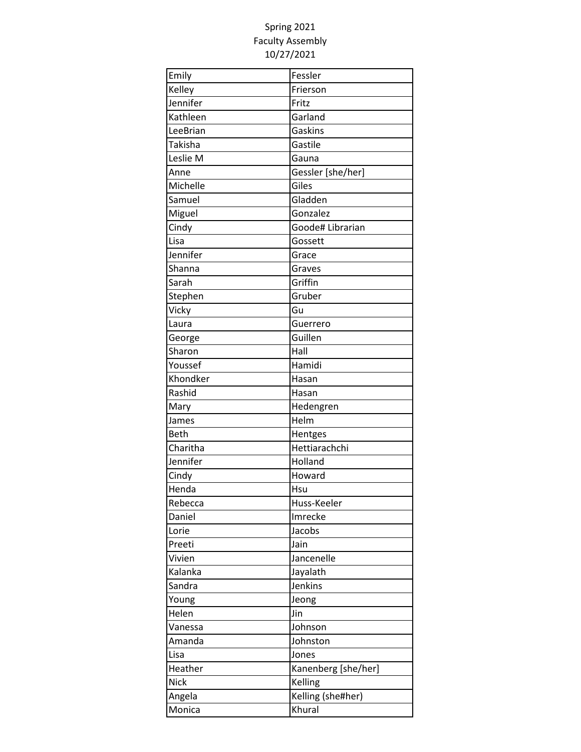| Emily       | Fessler             |
|-------------|---------------------|
| Kelley      | Frierson            |
| Jennifer    | Fritz               |
| Kathleen    | Garland             |
| LeeBrian    | Gaskins             |
| Takisha     | Gastile             |
| Leslie M    | Gauna               |
| Anne        | Gessler [she/her]   |
| Michelle    | Giles               |
| Samuel      | Gladden             |
| Miguel      | Gonzalez            |
| Cindy       | Goode# Librarian    |
| Lisa        | Gossett             |
| Jennifer    | Grace               |
| Shanna      | Graves              |
| Sarah       | Griffin             |
| Stephen     | Gruber              |
| Vicky       | Gu                  |
| Laura       | Guerrero            |
| George      | Guillen             |
| Sharon      | Hall                |
| Youssef     | Hamidi              |
| Khondker    | Hasan               |
| Rashid      | Hasan               |
| Mary        | Hedengren           |
| James       | Helm                |
| <b>Beth</b> | Hentges             |
| Charitha    | Hettiarachchi       |
| Jennifer    | Holland             |
| Cindy       | Howard              |
| Henda       | Hsu                 |
| Rebecca     | Huss-Keeler         |
| Daniel      | Imrecke             |
| Lorie       | Jacobs              |
| Preeti      | Jain                |
| Vivien      | Jancenelle          |
| Kalanka     | Jayalath            |
| Sandra      | Jenkins             |
| Young       | Jeong               |
| Helen       | Jin                 |
| Vanessa     | Johnson             |
| Amanda      | Johnston            |
| Lisa        | Jones               |
| Heather     | Kanenberg [she/her] |
| <b>Nick</b> | Kelling             |
| Angela      | Kelling (she#her)   |
| Monica      | Khural              |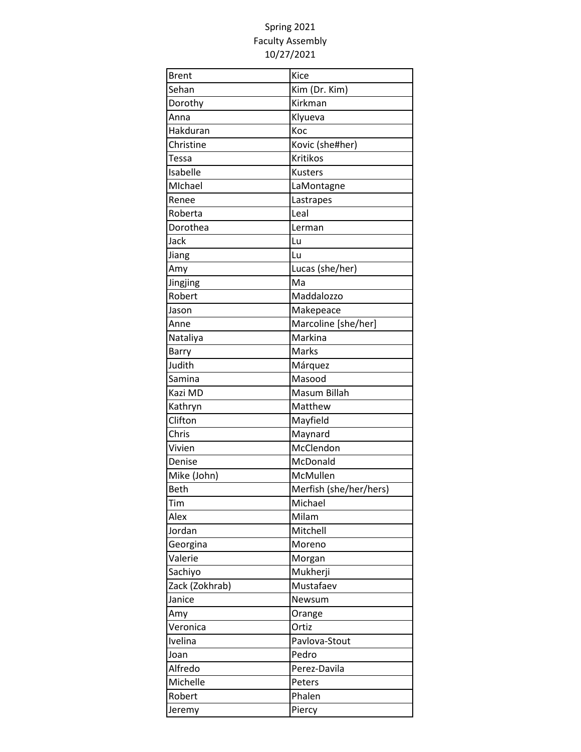| <b>Brent</b>   | Kice                   |
|----------------|------------------------|
| Sehan          | Kim (Dr. Kim)          |
| Dorothy        | Kirkman                |
| Anna           | Klyueva                |
| Hakduran       | Koc                    |
| Christine      | Kovic (she#her)        |
| Tessa          | Kritikos               |
| Isabelle       | Kusters                |
| MIchael        | LaMontagne             |
| Renee          | Lastrapes              |
| Roberta        | Leal                   |
| Dorothea       | Lerman                 |
| Jack           | Lu                     |
| Jiang          | Lu                     |
| Amy            | Lucas (she/her)        |
| Jingjing       | Ma                     |
| Robert         | Maddalozzo             |
| Jason          | Makepeace              |
| Anne           | Marcoline [she/her]    |
| Nataliya       | Markina                |
| Barry          | Marks                  |
| Judith         | Márquez                |
| Samina         | Masood                 |
| Kazi MD        | Masum Billah           |
| Kathryn        | Matthew                |
| Clifton        | Mayfield               |
| Chris          | Maynard                |
| Vivien         | McClendon              |
| Denise         | McDonald               |
| Mike (John)    | McMullen               |
| <b>Beth</b>    | Merfish (she/her/hers) |
| Tim            | Michael                |
| Alex           | Milam                  |
| Jordan         | Mitchell               |
| Georgina       | Moreno                 |
| Valerie        | Morgan                 |
| Sachiyo        | Mukherji               |
| Zack (Zokhrab) | Mustafaev              |
| Janice         | Newsum                 |
| Amy            | Orange                 |
| Veronica       | Ortiz                  |
| Ivelina        | Pavlova-Stout          |
| Joan           | Pedro                  |
| Alfredo        | Perez-Davila           |
| Michelle       | Peters                 |
| Robert         | Phalen                 |
| Jeremy         | Piercy                 |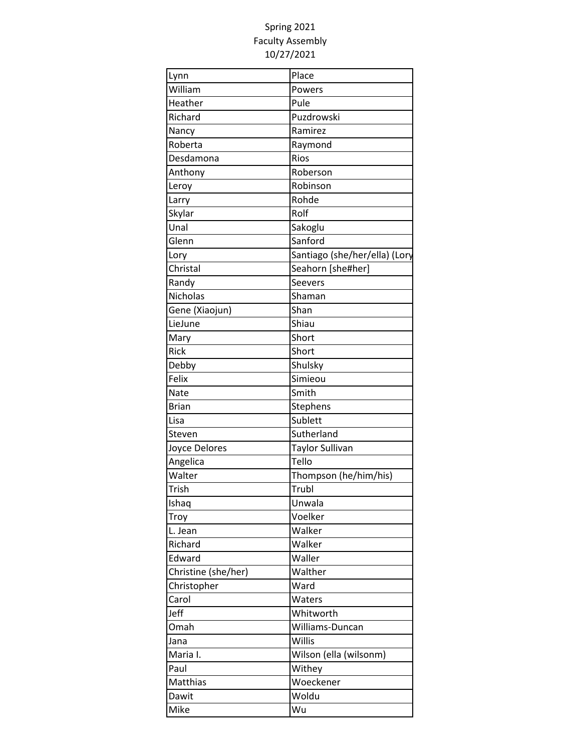| Lynn                | Place                         |
|---------------------|-------------------------------|
| William             | Powers                        |
| Heather             | Pule                          |
| Richard             | Puzdrowski                    |
| Nancy               | Ramirez                       |
| Roberta             | Raymond                       |
| Desdamona           | Rios                          |
| Anthony             | Roberson                      |
| Leroy               | Robinson                      |
| Larry               | Rohde                         |
| Skylar              | Rolf                          |
| Unal                | Sakoglu                       |
| Glenn               | Sanford                       |
| Lory                | Santiago (she/her/ella) (Lory |
| Christal            | Seahorn [she#her]             |
| Randy               | Seevers                       |
| <b>Nicholas</b>     | Shaman                        |
| Gene (Xiaojun)      | Shan                          |
| LieJune             | Shiau                         |
| Mary                | Short                         |
| Rick                | Short                         |
| Debby               | Shulsky                       |
| Felix               | Simieou                       |
| Nate                | Smith                         |
| <b>Brian</b>        | Stephens                      |
| Lisa                | Sublett                       |
| Steven              | Sutherland                    |
| Joyce Delores       | Taylor Sullivan               |
| Angelica            | Tello                         |
| Walter              | Thompson (he/him/his)         |
| Trish               | Trubl                         |
| Ishaq               | Unwala                        |
| Troy                | Voelker                       |
| L. Jean             | Walker                        |
| Richard             | Walker                        |
| Edward              | Waller                        |
| Christine (she/her) | Walther                       |
| Christopher         | Ward                          |
| Carol               | Waters                        |
| Jeff                | Whitworth                     |
| Omah                | Williams-Duncan               |
| Jana                | Willis                        |
| Maria I.            | Wilson (ella (wilsonm)        |
| Paul                | Withey                        |
| Matthias            | Woeckener                     |
| Dawit               | Woldu                         |
| Mike                | Wu                            |